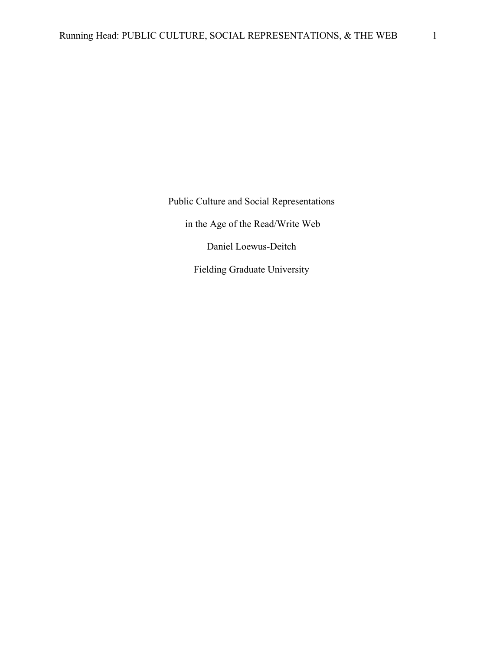Public Culture and Social Representations

in the Age of the Read/Write Web

Daniel Loewus-Deitch

Fielding Graduate University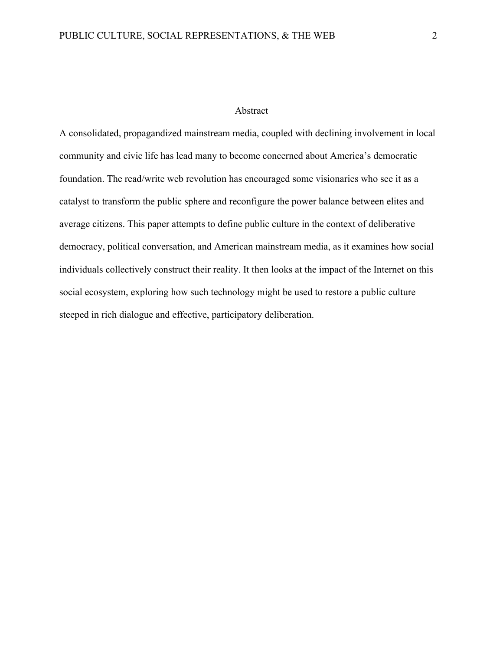## Abstract

A consolidated, propagandized mainstream media, coupled with declining involvement in local community and civic life has lead many to become concerned about America's democratic foundation. The read/write web revolution has encouraged some visionaries who see it as a catalyst to transform the public sphere and reconfigure the power balance between elites and average citizens. This paper attempts to define public culture in the context of deliberative democracy, political conversation, and American mainstream media, as it examines how social individuals collectively construct their reality. It then looks at the impact of the Internet on this social ecosystem, exploring how such technology might be used to restore a public culture steeped in rich dialogue and effective, participatory deliberation.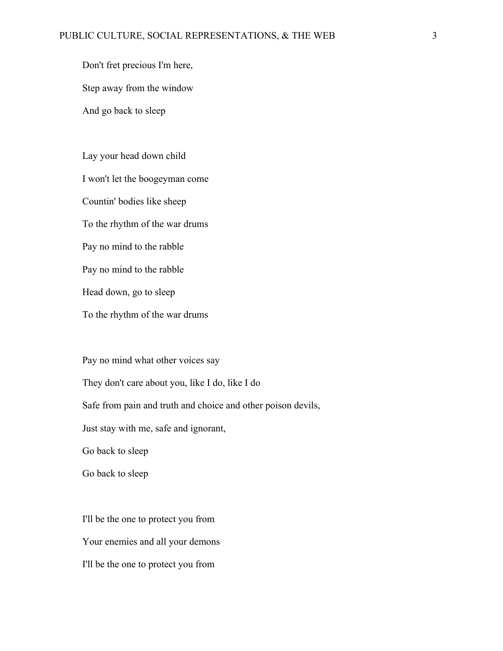Don't fret precious I'm here,

Step away from the window

And go back to sleep

Lay your head down child

I won't let the boogeyman come

Countin' bodies like sheep

To the rhythm of the war drums

Pay no mind to the rabble

Pay no mind to the rabble

Head down, go to sleep

To the rhythm of the war drums

Pay no mind what other voices say They don't care about you, like I do, like I do Safe from pain and truth and choice and other poison devils, Just stay with me, safe and ignorant, Go back to sleep Go back to sleep

I'll be the one to protect you from Your enemies and all your demons I'll be the one to protect you from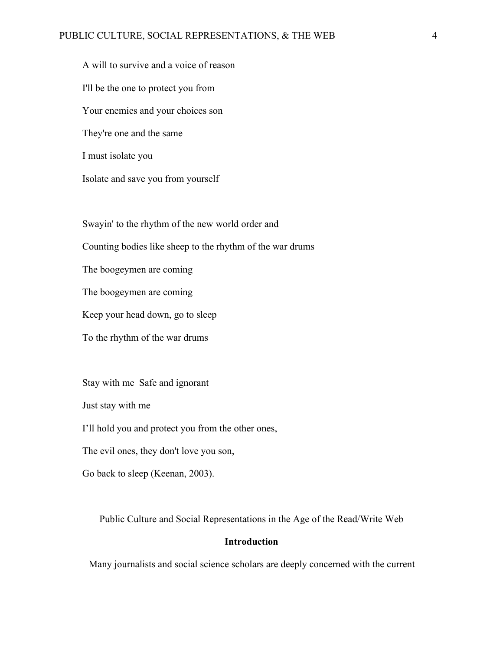### PUBLIC CULTURE, SOCIAL REPRESENTATIONS, & THE WEB 4

A will to survive and a voice of reason I'll be the one to protect you from Your enemies and your choices son They're one and the same I must isolate you Isolate and save you from yourself

Swayin' to the rhythm of the new world order and

Counting bodies like sheep to the rhythm of the war drums

The boogeymen are coming

The boogeymen are coming

Keep your head down, go to sleep

To the rhythm of the war drums

Stay with me Safe and ignorant

Just stay with me

I'll hold you and protect you from the other ones,

The evil ones, they don't love you son,

Go back to sleep (Keenan, 2003).

Public Culture and Social Representations in the Age of the Read/Write Web

# **Introduction**

Many journalists and social science scholars are deeply concerned with the current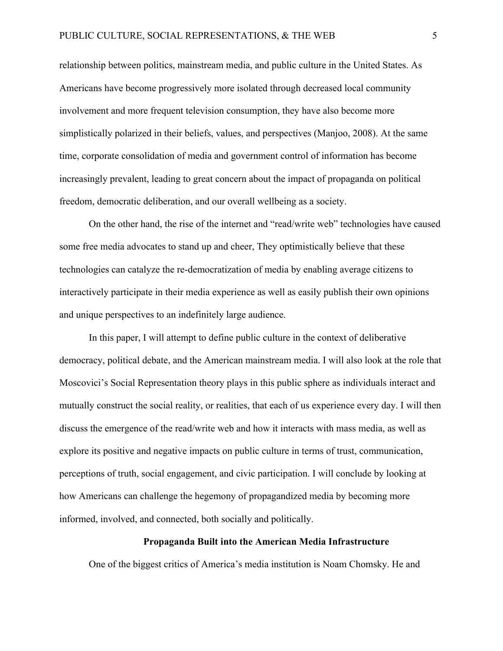relationship between politics, mainstream media, and public culture in the United States. As Americans have become progressively more isolated through decreased local community involvement and more frequent television consumption, they have also become more simplistically polarized in their beliefs, values, and perspectives (Manjoo, 2008). At the same time, corporate consolidation of media and government control of information has become increasingly prevalent, leading to great concern about the impact of propaganda on political freedom, democratic deliberation, and our overall wellbeing as a society.

On the other hand, the rise of the internet and "read/write web" technologies have caused some free media advocates to stand up and cheer, They optimistically believe that these technologies can catalyze the re-democratization of media by enabling average citizens to interactively participate in their media experience as well as easily publish their own opinions and unique perspectives to an indefinitely large audience.

In this paper, I will attempt to define public culture in the context of deliberative democracy, political debate, and the American mainstream media. I will also look at the role that Moscovici's Social Representation theory plays in this public sphere as individuals interact and mutually construct the social reality, or realities, that each of us experience every day. I will then discuss the emergence of the read/write web and how it interacts with mass media, as well as explore its positive and negative impacts on public culture in terms of trust, communication, perceptions of truth, social engagement, and civic participation. I will conclude by looking at how Americans can challenge the hegemony of propagandized media by becoming more informed, involved, and connected, both socially and politically.

## **Propaganda Built into the American Media Infrastructure**

One of the biggest critics of America's media institution is Noam Chomsky. He and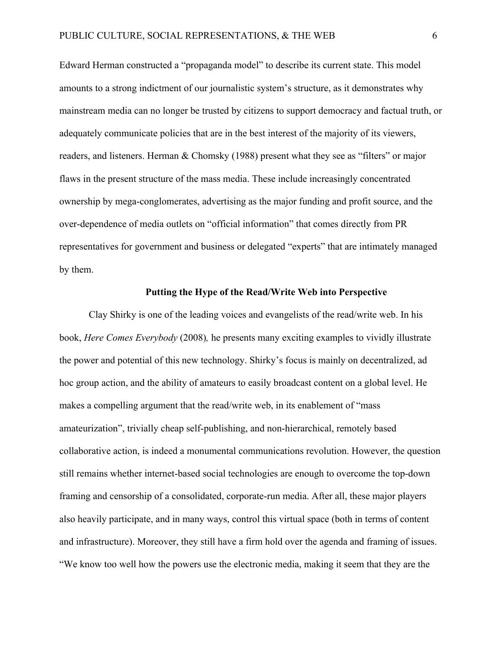Edward Herman constructed a "propaganda model" to describe its current state. This model amounts to a strong indictment of our journalistic system's structure, as it demonstrates why mainstream media can no longer be trusted by citizens to support democracy and factual truth, or adequately communicate policies that are in the best interest of the majority of its viewers, readers, and listeners. Herman & Chomsky (1988) present what they see as "filters" or major flaws in the present structure of the mass media. These include increasingly concentrated ownership by mega-conglomerates, advertising as the major funding and profit source, and the over-dependence of media outlets on "official information" that comes directly from PR representatives for government and business or delegated "experts" that are intimately managed by them.

### **Putting the Hype of the Read/Write Web into Perspective**

Clay Shirky is one of the leading voices and evangelists of the read/write web. In his book, *Here Comes Everybody* (2008)*,* he presents many exciting examples to vividly illustrate the power and potential of this new technology. Shirky's focus is mainly on decentralized, ad hoc group action, and the ability of amateurs to easily broadcast content on a global level. He makes a compelling argument that the read/write web, in its enablement of "mass amateurization", trivially cheap self-publishing, and non-hierarchical, remotely based collaborative action, is indeed a monumental communications revolution. However, the question still remains whether internet-based social technologies are enough to overcome the top-down framing and censorship of a consolidated, corporate-run media. After all, these major players also heavily participate, and in many ways, control this virtual space (both in terms of content and infrastructure). Moreover, they still have a firm hold over the agenda and framing of issues. "We know too well how the powers use the electronic media, making it seem that they are the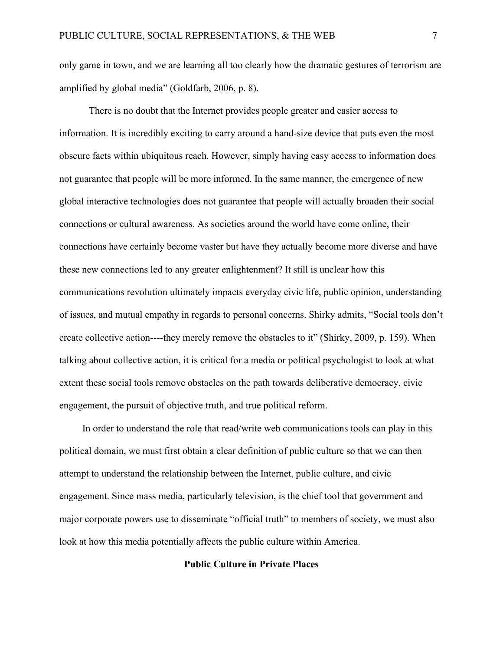only game in town, and we are learning all too clearly how the dramatic gestures of terrorism are amplified by global media" (Goldfarb, 2006, p. 8).

There is no doubt that the Internet provides people greater and easier access to information. It is incredibly exciting to carry around a hand-size device that puts even the most obscure facts within ubiquitous reach. However, simply having easy access to information does not guarantee that people will be more informed. In the same manner, the emergence of new global interactive technologies does not guarantee that people will actually broaden their social connections or cultural awareness. As societies around the world have come online, their connections have certainly become vaster but have they actually become more diverse and have these new connections led to any greater enlightenment? It still is unclear how this communications revolution ultimately impacts everyday civic life, public opinion, understanding of issues, and mutual empathy in regards to personal concerns. Shirky admits, "Social tools don't create collective action----they merely remove the obstacles to it" (Shirky, 2009, p. 159). When talking about collective action, it is critical for a media or political psychologist to look at what extent these social tools remove obstacles on the path towards deliberative democracy, civic engagement, the pursuit of objective truth, and true political reform.

In order to understand the role that read/write web communications tools can play in this political domain, we must first obtain a clear definition of public culture so that we can then attempt to understand the relationship between the Internet, public culture, and civic engagement. Since mass media, particularly television, is the chief tool that government and major corporate powers use to disseminate "official truth" to members of society, we must also look at how this media potentially affects the public culture within America.

## **Public Culture in Private Places**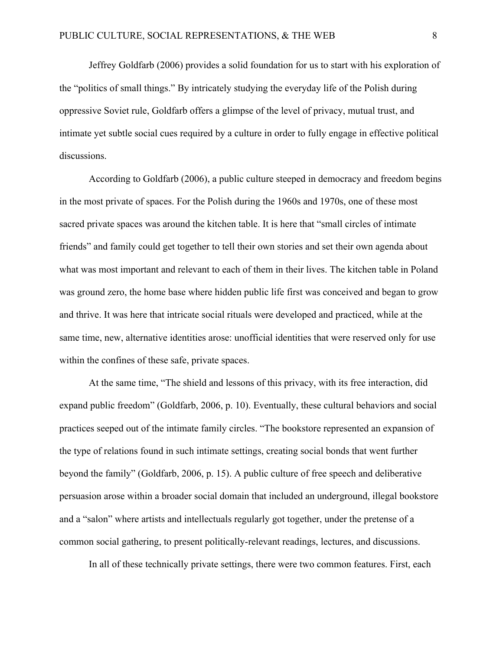Jeffrey Goldfarb (2006) provides a solid foundation for us to start with his exploration of the "politics of small things." By intricately studying the everyday life of the Polish during oppressive Soviet rule, Goldfarb offers a glimpse of the level of privacy, mutual trust, and intimate yet subtle social cues required by a culture in order to fully engage in effective political discussions.

According to Goldfarb (2006), a public culture steeped in democracy and freedom begins in the most private of spaces. For the Polish during the 1960s and 1970s, one of these most sacred private spaces was around the kitchen table. It is here that "small circles of intimate friends" and family could get together to tell their own stories and set their own agenda about what was most important and relevant to each of them in their lives. The kitchen table in Poland was ground zero, the home base where hidden public life first was conceived and began to grow and thrive. It was here that intricate social rituals were developed and practiced, while at the same time, new, alternative identities arose: unofficial identities that were reserved only for use within the confines of these safe, private spaces.

At the same time, "The shield and lessons of this privacy, with its free interaction, did expand public freedom" (Goldfarb, 2006, p. 10). Eventually, these cultural behaviors and social practices seeped out of the intimate family circles. "The bookstore represented an expansion of the type of relations found in such intimate settings, creating social bonds that went further beyond the family" (Goldfarb, 2006, p. 15). A public culture of free speech and deliberative persuasion arose within a broader social domain that included an underground, illegal bookstore and a "salon" where artists and intellectuals regularly got together, under the pretense of a common social gathering, to present politically-relevant readings, lectures, and discussions.

In all of these technically private settings, there were two common features. First, each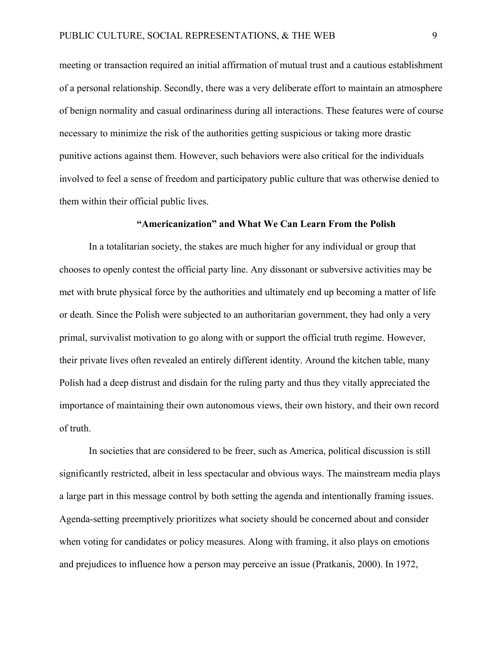meeting or transaction required an initial affirmation of mutual trust and a cautious establishment of a personal relationship. Secondly, there was a very deliberate effort to maintain an atmosphere of benign normality and casual ordinariness during all interactions. These features were of course necessary to minimize the risk of the authorities getting suspicious or taking more drastic punitive actions against them. However, such behaviors were also critical for the individuals involved to feel a sense of freedom and participatory public culture that was otherwise denied to them within their official public lives.

## **"Americanization" and What We Can Learn From the Polish**

In a totalitarian society, the stakes are much higher for any individual or group that chooses to openly contest the official party line. Any dissonant or subversive activities may be met with brute physical force by the authorities and ultimately end up becoming a matter of life or death. Since the Polish were subjected to an authoritarian government, they had only a very primal, survivalist motivation to go along with or support the official truth regime. However, their private lives often revealed an entirely different identity. Around the kitchen table, many Polish had a deep distrust and disdain for the ruling party and thus they vitally appreciated the importance of maintaining their own autonomous views, their own history, and their own record of truth.

In societies that are considered to be freer, such as America, political discussion is still significantly restricted, albeit in less spectacular and obvious ways. The mainstream media plays a large part in this message control by both setting the agenda and intentionally framing issues. Agenda-setting preemptively prioritizes what society should be concerned about and consider when voting for candidates or policy measures. Along with framing, it also plays on emotions and prejudices to influence how a person may perceive an issue (Pratkanis, 2000). In 1972,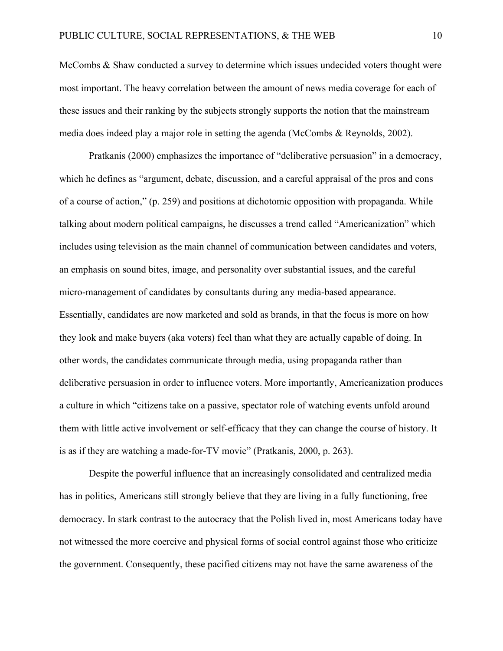McCombs & Shaw conducted a survey to determine which issues undecided voters thought were most important. The heavy correlation between the amount of news media coverage for each of these issues and their ranking by the subjects strongly supports the notion that the mainstream media does indeed play a major role in setting the agenda (McCombs & Reynolds, 2002).

Pratkanis (2000) emphasizes the importance of "deliberative persuasion" in a democracy, which he defines as "argument, debate, discussion, and a careful appraisal of the pros and cons of a course of action," (p. 259) and positions at dichotomic opposition with propaganda. While talking about modern political campaigns, he discusses a trend called "Americanization" which includes using television as the main channel of communication between candidates and voters, an emphasis on sound bites, image, and personality over substantial issues, and the careful micro-management of candidates by consultants during any media-based appearance. Essentially, candidates are now marketed and sold as brands, in that the focus is more on how they look and make buyers (aka voters) feel than what they are actually capable of doing. In other words, the candidates communicate through media, using propaganda rather than deliberative persuasion in order to influence voters. More importantly, Americanization produces a culture in which "citizens take on a passive, spectator role of watching events unfold around them with little active involvement or self-efficacy that they can change the course of history. It is as if they are watching a made-for-TV movie" (Pratkanis, 2000, p. 263).

Despite the powerful influence that an increasingly consolidated and centralized media has in politics, Americans still strongly believe that they are living in a fully functioning, free democracy. In stark contrast to the autocracy that the Polish lived in, most Americans today have not witnessed the more coercive and physical forms of social control against those who criticize the government. Consequently, these pacified citizens may not have the same awareness of the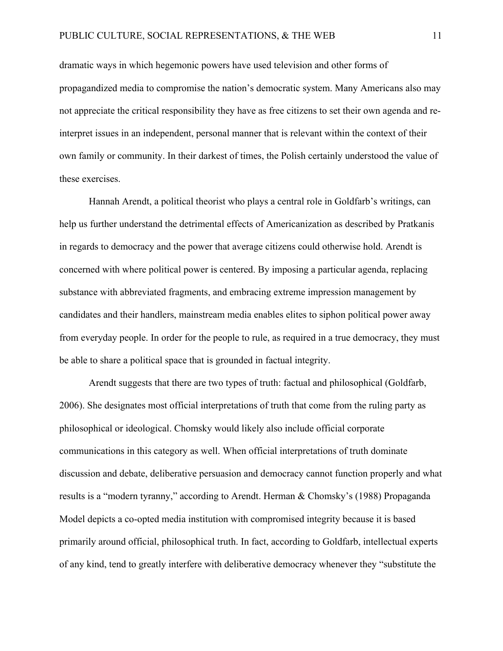dramatic ways in which hegemonic powers have used television and other forms of propagandized media to compromise the nation's democratic system. Many Americans also may not appreciate the critical responsibility they have as free citizens to set their own agenda and reinterpret issues in an independent, personal manner that is relevant within the context of their own family or community. In their darkest of times, the Polish certainly understood the value of these exercises.

Hannah Arendt, a political theorist who plays a central role in Goldfarb's writings, can help us further understand the detrimental effects of Americanization as described by Pratkanis in regards to democracy and the power that average citizens could otherwise hold. Arendt is concerned with where political power is centered. By imposing a particular agenda, replacing substance with abbreviated fragments, and embracing extreme impression management by candidates and their handlers, mainstream media enables elites to siphon political power away from everyday people. In order for the people to rule, as required in a true democracy, they must be able to share a political space that is grounded in factual integrity.

Arendt suggests that there are two types of truth: factual and philosophical (Goldfarb, 2006). She designates most official interpretations of truth that come from the ruling party as philosophical or ideological. Chomsky would likely also include official corporate communications in this category as well. When official interpretations of truth dominate discussion and debate, deliberative persuasion and democracy cannot function properly and what results is a "modern tyranny," according to Arendt. Herman & Chomsky's (1988) Propaganda Model depicts a co-opted media institution with compromised integrity because it is based primarily around official, philosophical truth. In fact, according to Goldfarb, intellectual experts of any kind, tend to greatly interfere with deliberative democracy whenever they "substitute the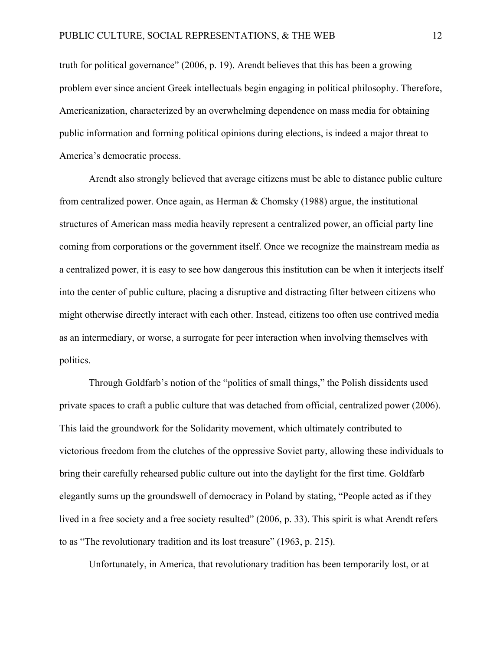truth for political governance" (2006, p. 19). Arendt believes that this has been a growing problem ever since ancient Greek intellectuals begin engaging in political philosophy. Therefore, Americanization, characterized by an overwhelming dependence on mass media for obtaining public information and forming political opinions during elections, is indeed a major threat to America's democratic process.

Arendt also strongly believed that average citizens must be able to distance public culture from centralized power. Once again, as Herman  $\&$  Chomsky (1988) argue, the institutional structures of American mass media heavily represent a centralized power, an official party line coming from corporations or the government itself. Once we recognize the mainstream media as a centralized power, it is easy to see how dangerous this institution can be when it interjects itself into the center of public culture, placing a disruptive and distracting filter between citizens who might otherwise directly interact with each other. Instead, citizens too often use contrived media as an intermediary, or worse, a surrogate for peer interaction when involving themselves with politics.

Through Goldfarb's notion of the "politics of small things," the Polish dissidents used private spaces to craft a public culture that was detached from official, centralized power (2006). This laid the groundwork for the Solidarity movement, which ultimately contributed to victorious freedom from the clutches of the oppressive Soviet party, allowing these individuals to bring their carefully rehearsed public culture out into the daylight for the first time. Goldfarb elegantly sums up the groundswell of democracy in Poland by stating, "People acted as if they lived in a free society and a free society resulted" (2006, p. 33). This spirit is what Arendt refers to as "The revolutionary tradition and its lost treasure" (1963, p. 215).

Unfortunately, in America, that revolutionary tradition has been temporarily lost, or at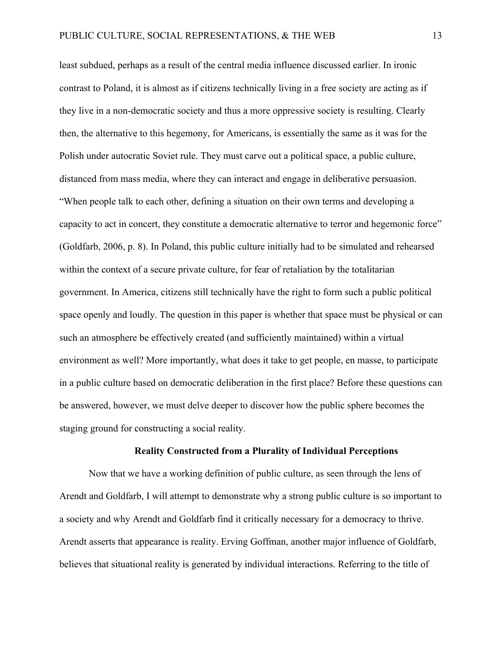least subdued, perhaps as a result of the central media influence discussed earlier. In ironic contrast to Poland, it is almost as if citizens technically living in a free society are acting as if they live in a non-democratic society and thus a more oppressive society is resulting. Clearly then, the alternative to this hegemony, for Americans, is essentially the same as it was for the Polish under autocratic Soviet rule. They must carve out a political space, a public culture, distanced from mass media, where they can interact and engage in deliberative persuasion. "When people talk to each other, defining a situation on their own terms and developing a capacity to act in concert, they constitute a democratic alternative to terror and hegemonic force" (Goldfarb, 2006, p. 8). In Poland, this public culture initially had to be simulated and rehearsed within the context of a secure private culture, for fear of retaliation by the totalitarian government. In America, citizens still technically have the right to form such a public political space openly and loudly. The question in this paper is whether that space must be physical or can such an atmosphere be effectively created (and sufficiently maintained) within a virtual environment as well? More importantly, what does it take to get people, en masse, to participate in a public culture based on democratic deliberation in the first place? Before these questions can be answered, however, we must delve deeper to discover how the public sphere becomes the staging ground for constructing a social reality.

### **Reality Constructed from a Plurality of Individual Perceptions**

Now that we have a working definition of public culture, as seen through the lens of Arendt and Goldfarb, I will attempt to demonstrate why a strong public culture is so important to a society and why Arendt and Goldfarb find it critically necessary for a democracy to thrive. Arendt asserts that appearance is reality. Erving Goffman, another major influence of Goldfarb, believes that situational reality is generated by individual interactions. Referring to the title of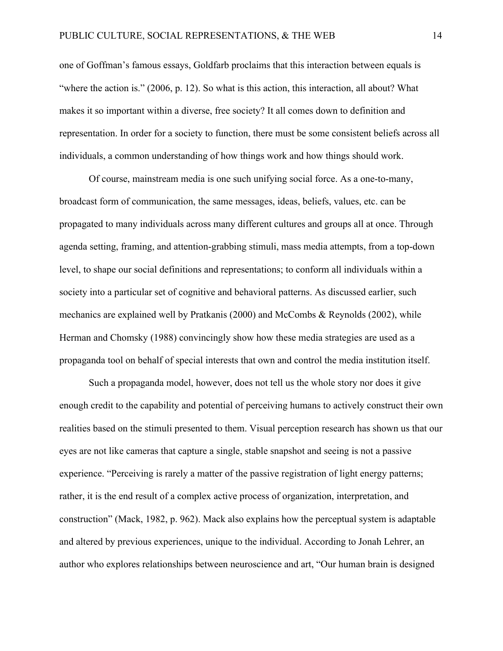one of Goffman's famous essays, Goldfarb proclaims that this interaction between equals is "where the action is." (2006, p. 12). So what is this action, this interaction, all about? What makes it so important within a diverse, free society? It all comes down to definition and representation. In order for a society to function, there must be some consistent beliefs across all individuals, a common understanding of how things work and how things should work.

Of course, mainstream media is one such unifying social force. As a one-to-many, broadcast form of communication, the same messages, ideas, beliefs, values, etc. can be propagated to many individuals across many different cultures and groups all at once. Through agenda setting, framing, and attention-grabbing stimuli, mass media attempts, from a top-down level, to shape our social definitions and representations; to conform all individuals within a society into a particular set of cognitive and behavioral patterns. As discussed earlier, such mechanics are explained well by Pratkanis (2000) and McCombs & Reynolds (2002), while Herman and Chomsky (1988) convincingly show how these media strategies are used as a propaganda tool on behalf of special interests that own and control the media institution itself.

Such a propaganda model, however, does not tell us the whole story nor does it give enough credit to the capability and potential of perceiving humans to actively construct their own realities based on the stimuli presented to them. Visual perception research has shown us that our eyes are not like cameras that capture a single, stable snapshot and seeing is not a passive experience. "Perceiving is rarely a matter of the passive registration of light energy patterns; rather, it is the end result of a complex active process of organization, interpretation, and construction" (Mack, 1982, p. 962). Mack also explains how the perceptual system is adaptable and altered by previous experiences, unique to the individual. According to Jonah Lehrer, an author who explores relationships between neuroscience and art, "Our human brain is designed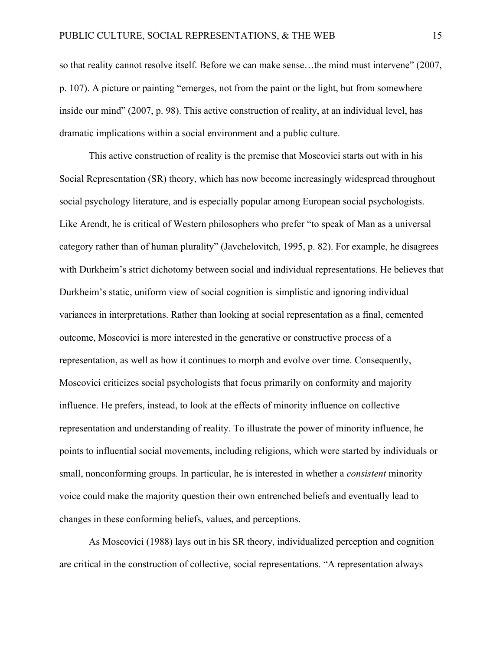so that reality cannot resolve itself. Before we can make sense…the mind must intervene" (2007, p. 107). A picture or painting "emerges, not from the paint or the light, but from somewhere inside our mind" (2007, p. 98). This active construction of reality, at an individual level, has dramatic implications within a social environment and a public culture.

This active construction of reality is the premise that Moscovici starts out with in his Social Representation (SR) theory, which has now become increasingly widespread throughout social psychology literature, and is especially popular among European social psychologists. Like Arendt, he is critical of Western philosophers who prefer "to speak of Man as a universal category rather than of human plurality" (Javchelovitch, 1995, p. 82). For example, he disagrees with Durkheim's strict dichotomy between social and individual representations. He believes that Durkheim's static, uniform view of social cognition is simplistic and ignoring individual variances in interpretations. Rather than looking at social representation as a final, cemented outcome, Moscovici is more interested in the generative or constructive process of a representation, as well as how it continues to morph and evolve over time. Consequently, Moscovici criticizes social psychologists that focus primarily on conformity and majority influence. He prefers, instead, to look at the effects of minority influence on collective representation and understanding of reality. To illustrate the power of minority influence, he points to influential social movements, including religions, which were started by individuals or small, nonconforming groups. In particular, he is interested in whether a *consistent* minority voice could make the majority question their own entrenched beliefs and eventually lead to changes in these conforming beliefs, values, and perceptions.

As Moscovici (1988) lays out in his SR theory, individualized perception and cognition are critical in the construction of collective, social representations. "A representation always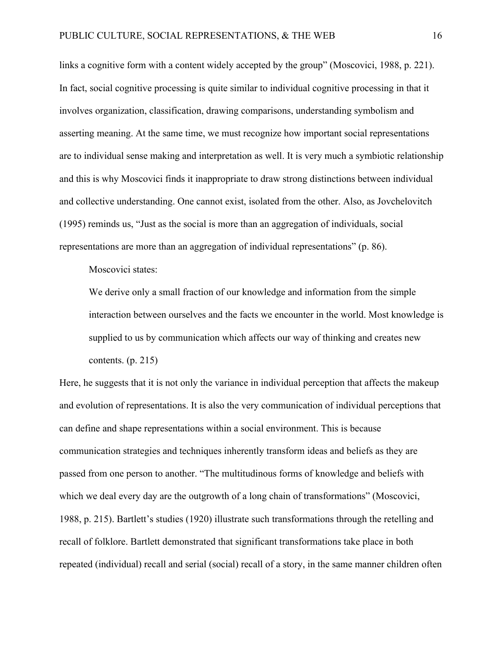links a cognitive form with a content widely accepted by the group" (Moscovici, 1988, p. 221). In fact, social cognitive processing is quite similar to individual cognitive processing in that it involves organization, classification, drawing comparisons, understanding symbolism and asserting meaning. At the same time, we must recognize how important social representations are to individual sense making and interpretation as well. It is very much a symbiotic relationship and this is why Moscovici finds it inappropriate to draw strong distinctions between individual and collective understanding. One cannot exist, isolated from the other. Also, as Jovchelovitch (1995) reminds us, "Just as the social is more than an aggregation of individuals, social representations are more than an aggregation of individual representations" (p. 86).

Moscovici states:

We derive only a small fraction of our knowledge and information from the simple interaction between ourselves and the facts we encounter in the world. Most knowledge is supplied to us by communication which affects our way of thinking and creates new contents. (p. 215)

Here, he suggests that it is not only the variance in individual perception that affects the makeup and evolution of representations. It is also the very communication of individual perceptions that can define and shape representations within a social environment. This is because communication strategies and techniques inherently transform ideas and beliefs as they are passed from one person to another. "The multitudinous forms of knowledge and beliefs with which we deal every day are the outgrowth of a long chain of transformations" (Moscovici, 1988, p. 215). Bartlett's studies (1920) illustrate such transformations through the retelling and recall of folklore. Bartlett demonstrated that significant transformations take place in both repeated (individual) recall and serial (social) recall of a story, in the same manner children often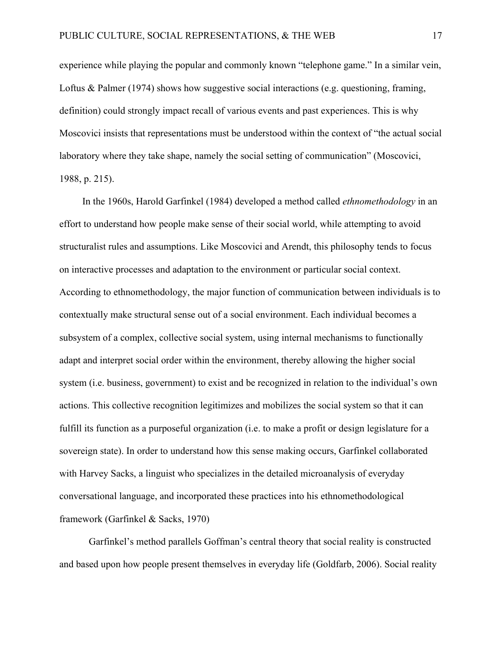experience while playing the popular and commonly known "telephone game." In a similar vein, Loftus & Palmer (1974) shows how suggestive social interactions (e.g. questioning, framing, definition) could strongly impact recall of various events and past experiences. This is why Moscovici insists that representations must be understood within the context of "the actual social laboratory where they take shape, namely the social setting of communication" (Moscovici, 1988, p. 215).

In the 1960s, Harold Garfinkel (1984) developed a method called *ethnomethodology* in an effort to understand how people make sense of their social world, while attempting to avoid structuralist rules and assumptions. Like Moscovici and Arendt, this philosophy tends to focus on interactive processes and adaptation to the environment or particular social context. According to ethnomethodology, the major function of communication between individuals is to contextually make structural sense out of a social environment. Each individual becomes a subsystem of a complex, collective social system, using internal mechanisms to functionally adapt and interpret social order within the environment, thereby allowing the higher social system (i.e. business, government) to exist and be recognized in relation to the individual's own actions. This collective recognition legitimizes and mobilizes the social system so that it can fulfill its function as a purposeful organization (i.e. to make a profit or design legislature for a sovereign state). In order to understand how this sense making occurs, Garfinkel collaborated with Harvey Sacks, a linguist who specializes in the detailed microanalysis of everyday conversational language, and incorporated these practices into his ethnomethodological framework (Garfinkel & Sacks, 1970)

Garfinkel's method parallels Goffman's central theory that social reality is constructed and based upon how people present themselves in everyday life (Goldfarb, 2006). Social reality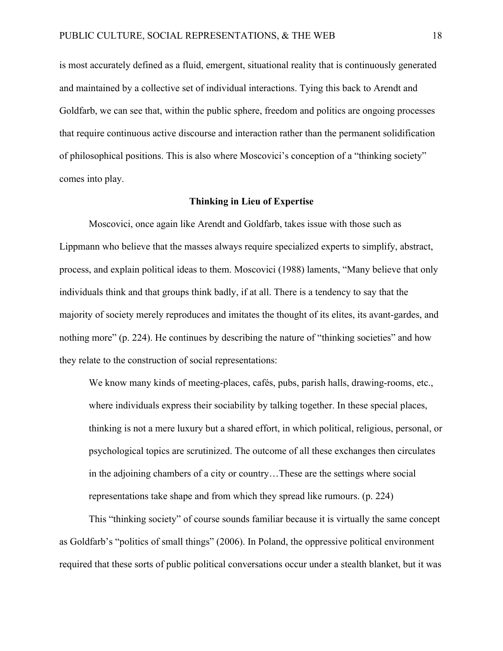is most accurately defined as a fluid, emergent, situational reality that is continuously generated and maintained by a collective set of individual interactions. Tying this back to Arendt and Goldfarb, we can see that, within the public sphere, freedom and politics are ongoing processes that require continuous active discourse and interaction rather than the permanent solidification of philosophical positions. This is also where Moscovici's conception of a "thinking society" comes into play.

## **Thinking in Lieu of Expertise**

Moscovici, once again like Arendt and Goldfarb, takes issue with those such as Lippmann who believe that the masses always require specialized experts to simplify, abstract, process, and explain political ideas to them. Moscovici (1988) laments, "Many believe that only individuals think and that groups think badly, if at all. There is a tendency to say that the majority of society merely reproduces and imitates the thought of its elites, its avant-gardes, and nothing more" (p. 224). He continues by describing the nature of "thinking societies" and how they relate to the construction of social representations:

We know many kinds of meeting-places, cafés, pubs, parish halls, drawing-rooms, etc., where individuals express their sociability by talking together. In these special places, thinking is not a mere luxury but a shared effort, in which political, religious, personal, or psychological topics are scrutinized. The outcome of all these exchanges then circulates in the adjoining chambers of a city or country…These are the settings where social representations take shape and from which they spread like rumours. (p. 224)

This "thinking society" of course sounds familiar because it is virtually the same concept as Goldfarb's "politics of small things" (2006). In Poland, the oppressive political environment required that these sorts of public political conversations occur under a stealth blanket, but it was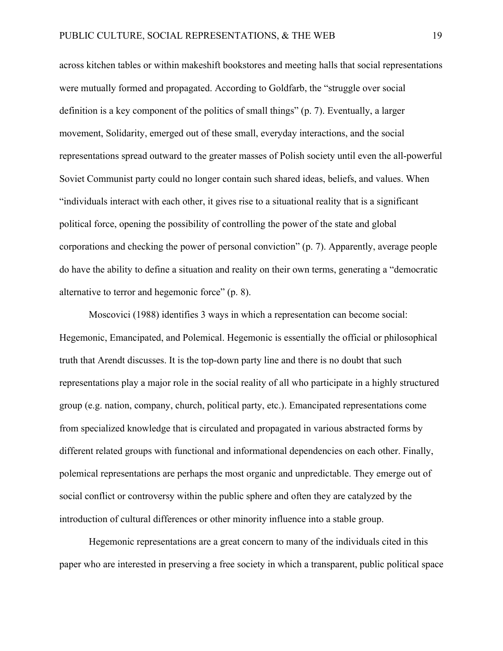across kitchen tables or within makeshift bookstores and meeting halls that social representations were mutually formed and propagated. According to Goldfarb, the "struggle over social definition is a key component of the politics of small things" (p. 7). Eventually, a larger movement, Solidarity, emerged out of these small, everyday interactions, and the social representations spread outward to the greater masses of Polish society until even the all-powerful Soviet Communist party could no longer contain such shared ideas, beliefs, and values. When "individuals interact with each other, it gives rise to a situational reality that is a significant political force, opening the possibility of controlling the power of the state and global corporations and checking the power of personal conviction" (p. 7). Apparently, average people do have the ability to define a situation and reality on their own terms, generating a "democratic alternative to terror and hegemonic force" (p. 8).

Moscovici (1988) identifies 3 ways in which a representation can become social: Hegemonic, Emancipated, and Polemical. Hegemonic is essentially the official or philosophical truth that Arendt discusses. It is the top-down party line and there is no doubt that such representations play a major role in the social reality of all who participate in a highly structured group (e.g. nation, company, church, political party, etc.). Emancipated representations come from specialized knowledge that is circulated and propagated in various abstracted forms by different related groups with functional and informational dependencies on each other. Finally, polemical representations are perhaps the most organic and unpredictable. They emerge out of social conflict or controversy within the public sphere and often they are catalyzed by the introduction of cultural differences or other minority influence into a stable group.

Hegemonic representations are a great concern to many of the individuals cited in this paper who are interested in preserving a free society in which a transparent, public political space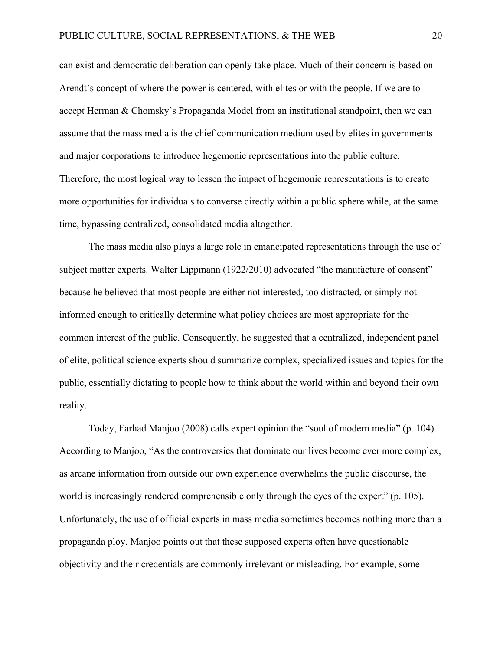can exist and democratic deliberation can openly take place. Much of their concern is based on Arendt's concept of where the power is centered, with elites or with the people. If we are to accept Herman & Chomsky's Propaganda Model from an institutional standpoint, then we can assume that the mass media is the chief communication medium used by elites in governments and major corporations to introduce hegemonic representations into the public culture. Therefore, the most logical way to lessen the impact of hegemonic representations is to create more opportunities for individuals to converse directly within a public sphere while, at the same time, bypassing centralized, consolidated media altogether.

The mass media also plays a large role in emancipated representations through the use of subject matter experts. Walter Lippmann (1922/2010) advocated "the manufacture of consent" because he believed that most people are either not interested, too distracted, or simply not informed enough to critically determine what policy choices are most appropriate for the common interest of the public. Consequently, he suggested that a centralized, independent panel of elite, political science experts should summarize complex, specialized issues and topics for the public, essentially dictating to people how to think about the world within and beyond their own reality.

Today, Farhad Manjoo (2008) calls expert opinion the "soul of modern media" (p. 104). According to Manjoo, "As the controversies that dominate our lives become ever more complex, as arcane information from outside our own experience overwhelms the public discourse, the world is increasingly rendered comprehensible only through the eyes of the expert" (p. 105). Unfortunately, the use of official experts in mass media sometimes becomes nothing more than a propaganda ploy. Manjoo points out that these supposed experts often have questionable objectivity and their credentials are commonly irrelevant or misleading. For example, some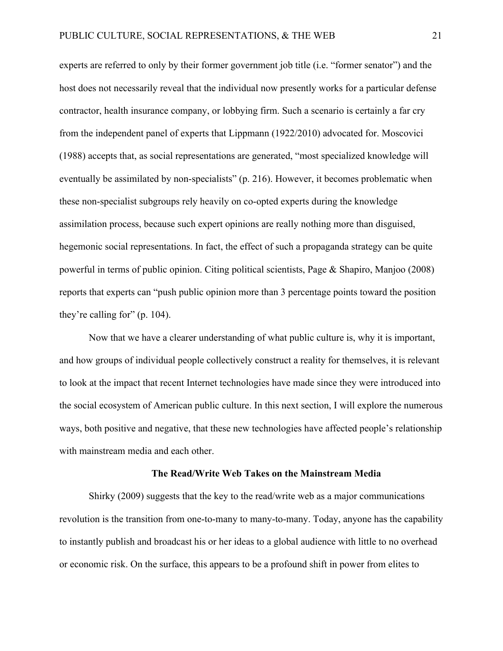experts are referred to only by their former government job title (i.e. "former senator") and the host does not necessarily reveal that the individual now presently works for a particular defense contractor, health insurance company, or lobbying firm. Such a scenario is certainly a far cry from the independent panel of experts that Lippmann (1922/2010) advocated for. Moscovici (1988) accepts that, as social representations are generated, "most specialized knowledge will eventually be assimilated by non-specialists" (p. 216). However, it becomes problematic when these non-specialist subgroups rely heavily on co-opted experts during the knowledge assimilation process, because such expert opinions are really nothing more than disguised, hegemonic social representations. In fact, the effect of such a propaganda strategy can be quite powerful in terms of public opinion. Citing political scientists, Page & Shapiro, Manjoo (2008) reports that experts can "push public opinion more than 3 percentage points toward the position they're calling for" (p. 104).

Now that we have a clearer understanding of what public culture is, why it is important, and how groups of individual people collectively construct a reality for themselves, it is relevant to look at the impact that recent Internet technologies have made since they were introduced into the social ecosystem of American public culture. In this next section, I will explore the numerous ways, both positive and negative, that these new technologies have affected people's relationship with mainstream media and each other.

## **The Read/Write Web Takes on the Mainstream Media**

Shirky (2009) suggests that the key to the read/write web as a major communications revolution is the transition from one-to-many to many-to-many. Today, anyone has the capability to instantly publish and broadcast his or her ideas to a global audience with little to no overhead or economic risk. On the surface, this appears to be a profound shift in power from elites to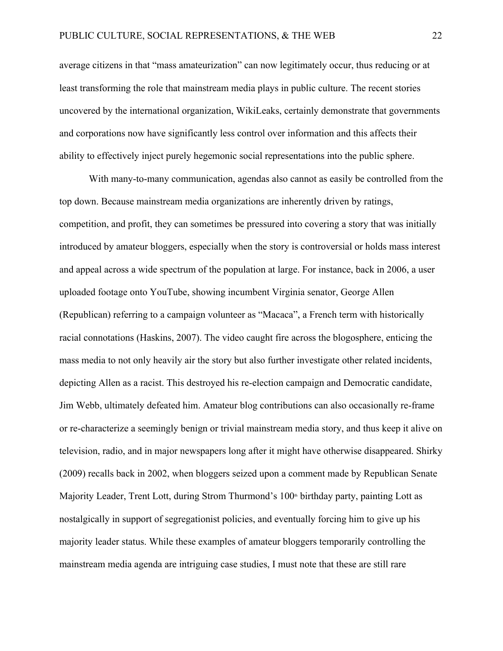average citizens in that "mass amateurization" can now legitimately occur, thus reducing or at least transforming the role that mainstream media plays in public culture. The recent stories uncovered by the international organization, WikiLeaks, certainly demonstrate that governments and corporations now have significantly less control over information and this affects their ability to effectively inject purely hegemonic social representations into the public sphere.

With many-to-many communication, agendas also cannot as easily be controlled from the top down. Because mainstream media organizations are inherently driven by ratings, competition, and profit, they can sometimes be pressured into covering a story that was initially introduced by amateur bloggers, especially when the story is controversial or holds mass interest and appeal across a wide spectrum of the population at large. For instance, back in 2006, a user uploaded footage onto YouTube, showing incumbent Virginia senator, George Allen (Republican) referring to a campaign volunteer as "Macaca", a French term with historically racial connotations (Haskins, 2007). The video caught fire across the blogosphere, enticing the mass media to not only heavily air the story but also further investigate other related incidents, depicting Allen as a racist. This destroyed his re-election campaign and Democratic candidate, Jim Webb, ultimately defeated him. Amateur blog contributions can also occasionally re-frame or re-characterize a seemingly benign or trivial mainstream media story, and thus keep it alive on television, radio, and in major newspapers long after it might have otherwise disappeared. Shirky (2009) recalls back in 2002, when bloggers seized upon a comment made by Republican Senate Majority Leader, Trent Lott, during Strom Thurmond's 100<sup>th</sup> birthday party, painting Lott as nostalgically in support of segregationist policies, and eventually forcing him to give up his majority leader status. While these examples of amateur bloggers temporarily controlling the mainstream media agenda are intriguing case studies, I must note that these are still rare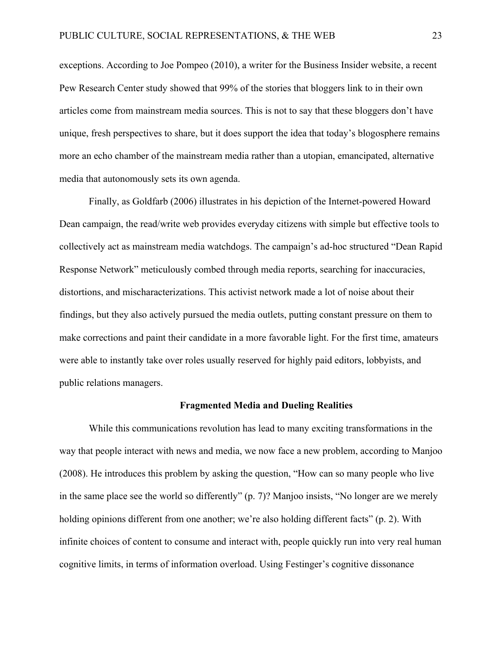exceptions. According to Joe Pompeo (2010), a writer for the Business Insider website, a recent Pew Research Center study showed that 99% of the stories that bloggers link to in their own articles come from mainstream media sources. This is not to say that these bloggers don't have unique, fresh perspectives to share, but it does support the idea that today's blogosphere remains more an echo chamber of the mainstream media rather than a utopian, emancipated, alternative media that autonomously sets its own agenda.

Finally, as Goldfarb (2006) illustrates in his depiction of the Internet-powered Howard Dean campaign, the read/write web provides everyday citizens with simple but effective tools to collectively act as mainstream media watchdogs. The campaign's ad-hoc structured "Dean Rapid Response Network" meticulously combed through media reports, searching for inaccuracies, distortions, and mischaracterizations. This activist network made a lot of noise about their findings, but they also actively pursued the media outlets, putting constant pressure on them to make corrections and paint their candidate in a more favorable light. For the first time, amateurs were able to instantly take over roles usually reserved for highly paid editors, lobbyists, and public relations managers.

#### **Fragmented Media and Dueling Realities**

While this communications revolution has lead to many exciting transformations in the way that people interact with news and media, we now face a new problem, according to Manjoo (2008). He introduces this problem by asking the question, "How can so many people who live in the same place see the world so differently" (p. 7)? Manjoo insists, "No longer are we merely holding opinions different from one another; we're also holding different facts" (p. 2). With infinite choices of content to consume and interact with, people quickly run into very real human cognitive limits, in terms of information overload. Using Festinger's cognitive dissonance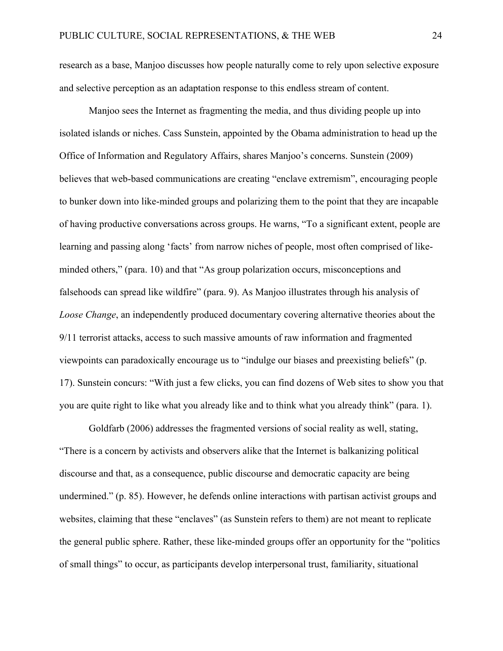research as a base, Manjoo discusses how people naturally come to rely upon selective exposure and selective perception as an adaptation response to this endless stream of content.

Manjoo sees the Internet as fragmenting the media, and thus dividing people up into isolated islands or niches. Cass Sunstein, appointed by the Obama administration to head up the Office of Information and Regulatory Affairs, shares Manjoo's concerns. Sunstein (2009) believes that web-based communications are creating "enclave extremism", encouraging people to bunker down into like-minded groups and polarizing them to the point that they are incapable of having productive conversations across groups. He warns, "To a significant extent, people are learning and passing along 'facts' from narrow niches of people, most often comprised of likeminded others," (para. 10) and that "As group polarization occurs, misconceptions and falsehoods can spread like wildfire" (para. 9). As Manjoo illustrates through his analysis of *Loose Change*, an independently produced documentary covering alternative theories about the 9/11 terrorist attacks, access to such massive amounts of raw information and fragmented viewpoints can paradoxically encourage us to "indulge our biases and preexisting beliefs" (p. 17). Sunstein concurs: "With just a few clicks, you can find dozens of Web sites to show you that you are quite right to like what you already like and to think what you already think" (para. 1).

Goldfarb (2006) addresses the fragmented versions of social reality as well, stating, "There is a concern by activists and observers alike that the Internet is balkanizing political discourse and that, as a consequence, public discourse and democratic capacity are being undermined." (p. 85). However, he defends online interactions with partisan activist groups and websites, claiming that these "enclaves" (as Sunstein refers to them) are not meant to replicate the general public sphere. Rather, these like-minded groups offer an opportunity for the "politics of small things" to occur, as participants develop interpersonal trust, familiarity, situational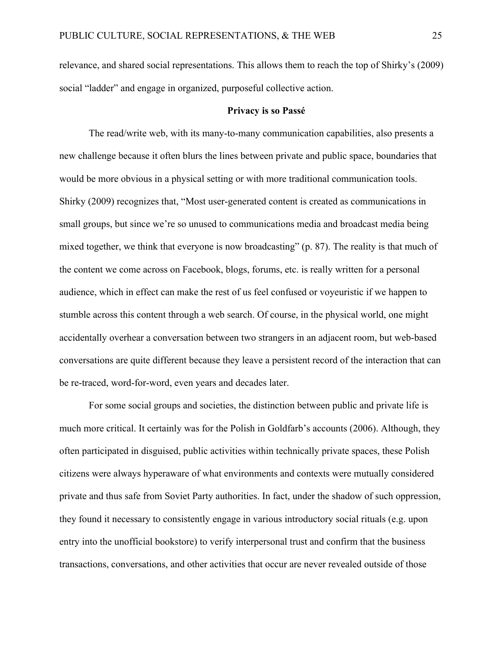relevance, and shared social representations. This allows them to reach the top of Shirky's (2009) social "ladder" and engage in organized, purposeful collective action.

### **Privacy is so Passé**

The read/write web, with its many-to-many communication capabilities, also presents a new challenge because it often blurs the lines between private and public space, boundaries that would be more obvious in a physical setting or with more traditional communication tools. Shirky (2009) recognizes that, "Most user-generated content is created as communications in small groups, but since we're so unused to communications media and broadcast media being mixed together, we think that everyone is now broadcasting" (p. 87). The reality is that much of the content we come across on Facebook, blogs, forums, etc. is really written for a personal audience, which in effect can make the rest of us feel confused or voyeuristic if we happen to stumble across this content through a web search. Of course, in the physical world, one might accidentally overhear a conversation between two strangers in an adjacent room, but web-based conversations are quite different because they leave a persistent record of the interaction that can be re-traced, word-for-word, even years and decades later.

For some social groups and societies, the distinction between public and private life is much more critical. It certainly was for the Polish in Goldfarb's accounts (2006). Although, they often participated in disguised, public activities within technically private spaces, these Polish citizens were always hyperaware of what environments and contexts were mutually considered private and thus safe from Soviet Party authorities. In fact, under the shadow of such oppression, they found it necessary to consistently engage in various introductory social rituals (e.g. upon entry into the unofficial bookstore) to verify interpersonal trust and confirm that the business transactions, conversations, and other activities that occur are never revealed outside of those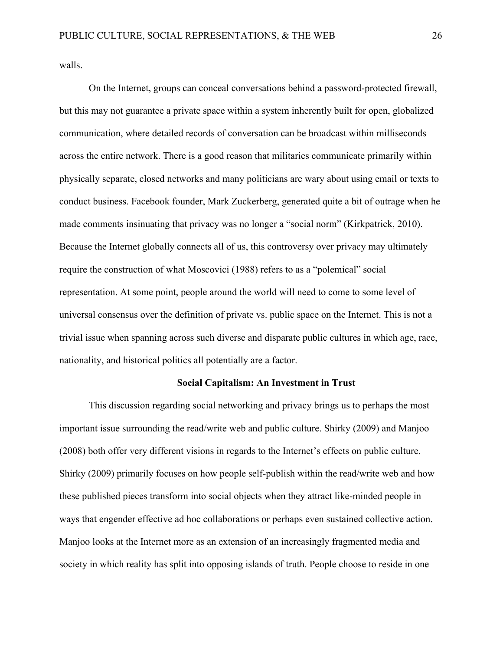walls.

On the Internet, groups can conceal conversations behind a password-protected firewall, but this may not guarantee a private space within a system inherently built for open, globalized communication, where detailed records of conversation can be broadcast within milliseconds across the entire network. There is a good reason that militaries communicate primarily within physically separate, closed networks and many politicians are wary about using email or texts to conduct business. Facebook founder, Mark Zuckerberg, generated quite a bit of outrage when he made comments insinuating that privacy was no longer a "social norm" (Kirkpatrick, 2010). Because the Internet globally connects all of us, this controversy over privacy may ultimately require the construction of what Moscovici (1988) refers to as a "polemical" social representation. At some point, people around the world will need to come to some level of universal consensus over the definition of private vs. public space on the Internet. This is not a trivial issue when spanning across such diverse and disparate public cultures in which age, race, nationality, and historical politics all potentially are a factor.

#### **Social Capitalism: An Investment in Trust**

This discussion regarding social networking and privacy brings us to perhaps the most important issue surrounding the read/write web and public culture. Shirky (2009) and Manjoo (2008) both offer very different visions in regards to the Internet's effects on public culture. Shirky (2009) primarily focuses on how people self-publish within the read/write web and how these published pieces transform into social objects when they attract like-minded people in ways that engender effective ad hoc collaborations or perhaps even sustained collective action. Manjoo looks at the Internet more as an extension of an increasingly fragmented media and society in which reality has split into opposing islands of truth. People choose to reside in one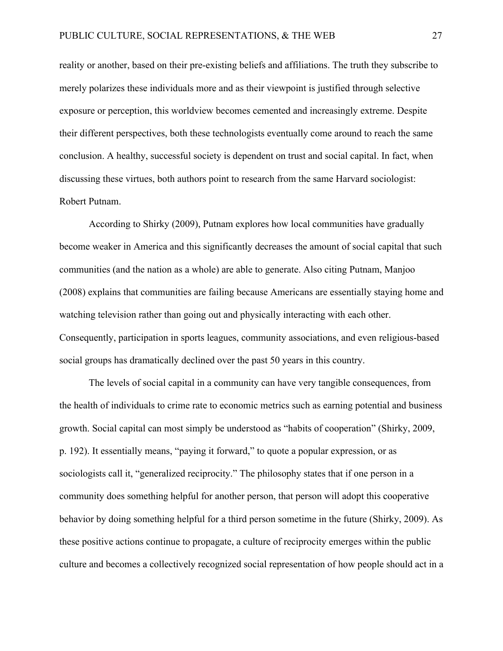reality or another, based on their pre-existing beliefs and affiliations. The truth they subscribe to merely polarizes these individuals more and as their viewpoint is justified through selective exposure or perception, this worldview becomes cemented and increasingly extreme. Despite their different perspectives, both these technologists eventually come around to reach the same conclusion. A healthy, successful society is dependent on trust and social capital. In fact, when discussing these virtues, both authors point to research from the same Harvard sociologist: Robert Putnam.

According to Shirky (2009), Putnam explores how local communities have gradually become weaker in America and this significantly decreases the amount of social capital that such communities (and the nation as a whole) are able to generate. Also citing Putnam, Manjoo (2008) explains that communities are failing because Americans are essentially staying home and watching television rather than going out and physically interacting with each other. Consequently, participation in sports leagues, community associations, and even religious-based social groups has dramatically declined over the past 50 years in this country.

The levels of social capital in a community can have very tangible consequences, from the health of individuals to crime rate to economic metrics such as earning potential and business growth. Social capital can most simply be understood as "habits of cooperation" (Shirky, 2009, p. 192). It essentially means, "paying it forward," to quote a popular expression, or as sociologists call it, "generalized reciprocity." The philosophy states that if one person in a community does something helpful for another person, that person will adopt this cooperative behavior by doing something helpful for a third person sometime in the future (Shirky, 2009). As these positive actions continue to propagate, a culture of reciprocity emerges within the public culture and becomes a collectively recognized social representation of how people should act in a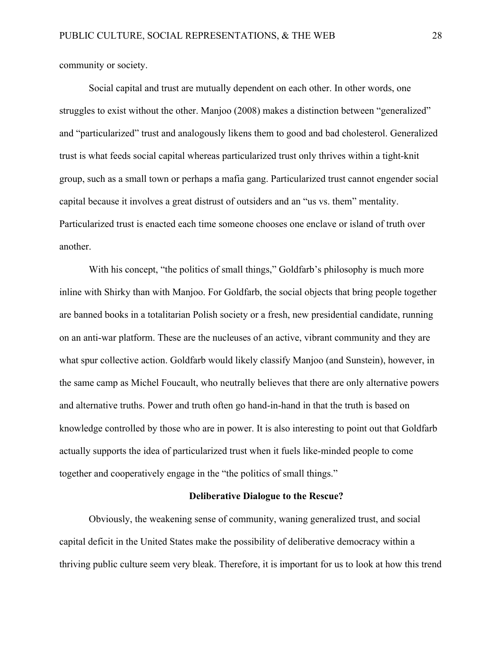community or society.

Social capital and trust are mutually dependent on each other. In other words, one struggles to exist without the other. Manjoo (2008) makes a distinction between "generalized" and "particularized" trust and analogously likens them to good and bad cholesterol. Generalized trust is what feeds social capital whereas particularized trust only thrives within a tight-knit group, such as a small town or perhaps a mafia gang. Particularized trust cannot engender social capital because it involves a great distrust of outsiders and an "us vs. them" mentality. Particularized trust is enacted each time someone chooses one enclave or island of truth over another.

With his concept, "the politics of small things," Goldfarb's philosophy is much more inline with Shirky than with Manjoo. For Goldfarb, the social objects that bring people together are banned books in a totalitarian Polish society or a fresh, new presidential candidate, running on an anti-war platform. These are the nucleuses of an active, vibrant community and they are what spur collective action. Goldfarb would likely classify Manjoo (and Sunstein), however, in the same camp as Michel Foucault, who neutrally believes that there are only alternative powers and alternative truths. Power and truth often go hand-in-hand in that the truth is based on knowledge controlled by those who are in power. It is also interesting to point out that Goldfarb actually supports the idea of particularized trust when it fuels like-minded people to come together and cooperatively engage in the "the politics of small things."

## **Deliberative Dialogue to the Rescue?**

Obviously, the weakening sense of community, waning generalized trust, and social capital deficit in the United States make the possibility of deliberative democracy within a thriving public culture seem very bleak. Therefore, it is important for us to look at how this trend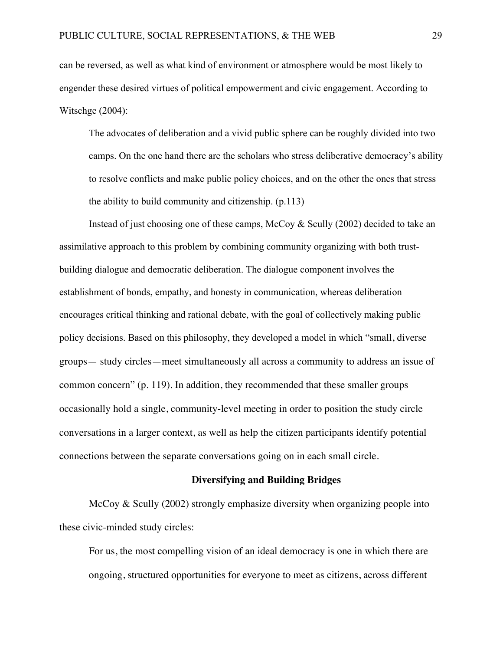can be reversed, as well as what kind of environment or atmosphere would be most likely to engender these desired virtues of political empowerment and civic engagement. According to Witschge (2004):

The advocates of deliberation and a vivid public sphere can be roughly divided into two camps. On the one hand there are the scholars who stress deliberative democracy's ability to resolve conflicts and make public policy choices, and on the other the ones that stress the ability to build community and citizenship. (p.113)

Instead of just choosing one of these camps, McCoy & Scully (2002) decided to take an assimilative approach to this problem by combining community organizing with both trustbuilding dialogue and democratic deliberation. The dialogue component involves the establishment of bonds, empathy, and honesty in communication, whereas deliberation encourages critical thinking and rational debate, with the goal of collectively making public policy decisions. Based on this philosophy, they developed a model in which "small, diverse groups— study circles—meet simultaneously all across a community to address an issue of common concern" (p. 119). In addition, they recommended that these smaller groups occasionally hold a single, community-level meeting in order to position the study circle conversations in a larger context, as well as help the citizen participants identify potential connections between the separate conversations going on in each small circle.

## **Diversifying and Building Bridges**

McCoy & Scully (2002) strongly emphasize diversity when organizing people into these civic-minded study circles:

For us, the most compelling vision of an ideal democracy is one in which there are ongoing, structured opportunities for everyone to meet as citizens, across different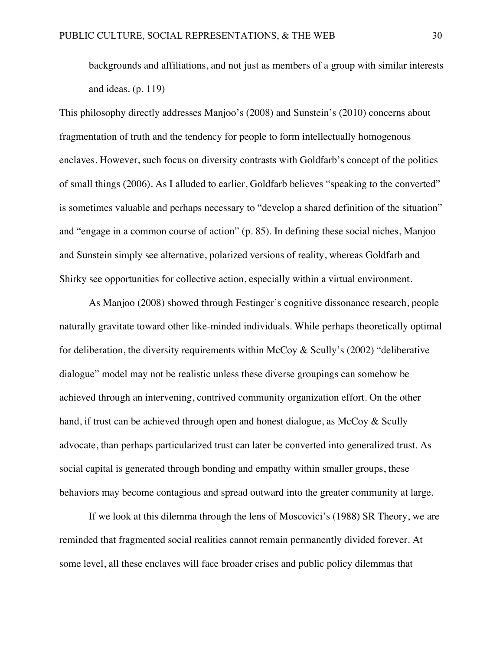backgrounds and affiliations, and not just as members of a group with similar interests and ideas. (p. 119)

This philosophy directly addresses Manjoo's (2008) and Sunstein's (2010) concerns about fragmentation of truth and the tendency for people to form intellectually homogenous enclaves. However, such focus on diversity contrasts with Goldfarb's concept of the politics of small things (2006). As I alluded to earlier, Goldfarb believes "speaking to the converted" is sometimes valuable and perhaps necessary to "develop a shared definition of the situation" and "engage in a common course of action" (p. 85). In defining these social niches, Manjoo and Sunstein simply see alternative, polarized versions of reality, whereas Goldfarb and Shirky see opportunities for collective action, especially within a virtual environment.

As Manjoo (2008) showed through Festinger's cognitive dissonance research, people naturally gravitate toward other like-minded individuals. While perhaps theoretically optimal for deliberation, the diversity requirements within McCoy & Scully's  $(2002)$  "deliberative dialogue" model may not be realistic unless these diverse groupings can somehow be achieved through an intervening, contrived community organization effort. On the other hand, if trust can be achieved through open and honest dialogue, as McCoy & Scully advocate, than perhaps particularized trust can later be converted into generalized trust. As social capital is generated through bonding and empathy within smaller groups, these behaviors may become contagious and spread outward into the greater community at large.

If we look at this dilemma through the lens of Moscovici's (1988) SR Theory, we are reminded that fragmented social realities cannot remain permanently divided forever. At some level, all these enclaves will face broader crises and public policy dilemmas that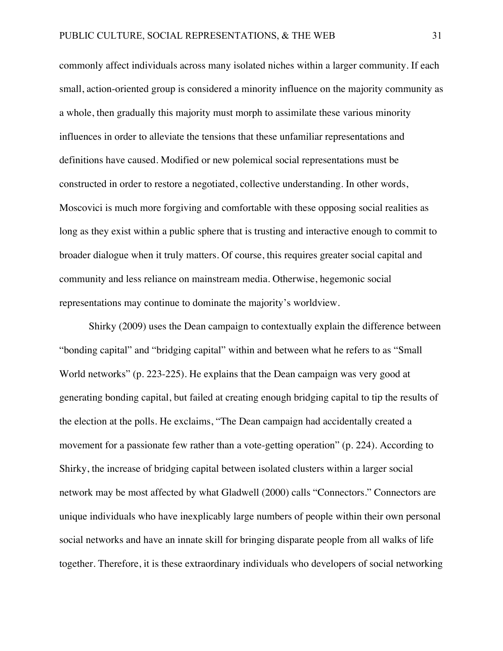commonly affect individuals across many isolated niches within a larger community. If each small, action-oriented group is considered a minority influence on the majority community as a whole, then gradually this majority must morph to assimilate these various minority influences in order to alleviate the tensions that these unfamiliar representations and definitions have caused. Modified or new polemical social representations must be constructed in order to restore a negotiated, collective understanding. In other words, Moscovici is much more forgiving and comfortable with these opposing social realities as long as they exist within a public sphere that is trusting and interactive enough to commit to broader dialogue when it truly matters. Of course, this requires greater social capital and community and less reliance on mainstream media. Otherwise, hegemonic social representations may continue to dominate the majority's worldview.

Shirky (2009) uses the Dean campaign to contextually explain the difference between "bonding capital" and "bridging capital" within and between what he refers to as "Small World networks" (p. 223-225). He explains that the Dean campaign was very good at generating bonding capital, but failed at creating enough bridging capital to tip the results of the election at the polls. He exclaims, "The Dean campaign had accidentally created a movement for a passionate few rather than a vote-getting operation" (p. 224). According to Shirky, the increase of bridging capital between isolated clusters within a larger social network may be most affected by what Gladwell (2000) calls "Connectors." Connectors are unique individuals who have inexplicably large numbers of people within their own personal social networks and have an innate skill for bringing disparate people from all walks of life together. Therefore, it is these extraordinary individuals who developers of social networking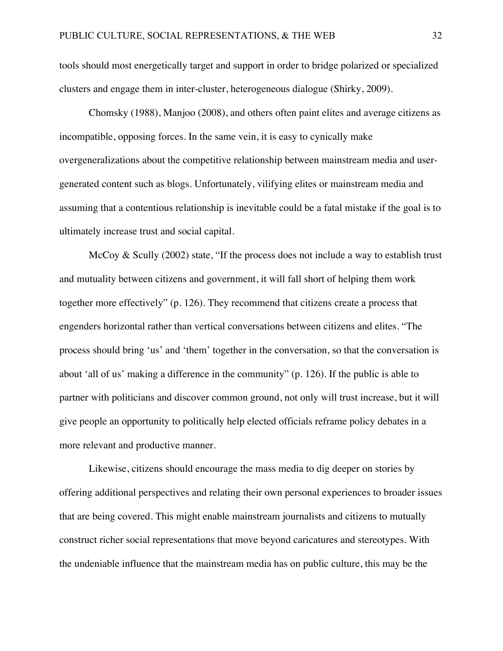tools should most energetically target and support in order to bridge polarized or specialized clusters and engage them in inter-cluster, heterogeneous dialogue (Shirky, 2009).

Chomsky (1988), Manjoo (2008), and others often paint elites and average citizens as incompatible, opposing forces. In the same vein, it is easy to cynically make overgeneralizations about the competitive relationship between mainstream media and usergenerated content such as blogs. Unfortunately, vilifying elites or mainstream media and assuming that a contentious relationship is inevitable could be a fatal mistake if the goal is to ultimately increase trust and social capital.

McCoy & Scully (2002) state, "If the process does not include a way to establish trust and mutuality between citizens and government, it will fall short of helping them work together more effectively" (p. 126). They recommend that citizens create a process that engenders horizontal rather than vertical conversations between citizens and elites. "The process should bring 'us' and 'them' together in the conversation, so that the conversation is about 'all of us' making a difference in the community" (p. 126). If the public is able to partner with politicians and discover common ground, not only will trust increase, but it will give people an opportunity to politically help elected officials reframe policy debates in a more relevant and productive manner.

Likewise, citizens should encourage the mass media to dig deeper on stories by offering additional perspectives and relating their own personal experiences to broader issues that are being covered. This might enable mainstream journalists and citizens to mutually construct richer social representations that move beyond caricatures and stereotypes. With the undeniable influence that the mainstream media has on public culture, this may be the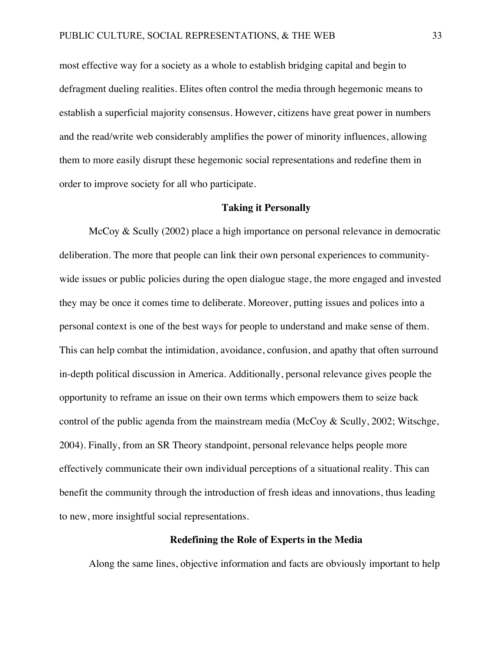most effective way for a society as a whole to establish bridging capital and begin to defragment dueling realities. Elites often control the media through hegemonic means to establish a superficial majority consensus. However, citizens have great power in numbers and the read/write web considerably amplifies the power of minority influences, allowing them to more easily disrupt these hegemonic social representations and redefine them in order to improve society for all who participate.

#### **Taking it Personally**

McCoy & Scully (2002) place a high importance on personal relevance in democratic deliberation. The more that people can link their own personal experiences to communitywide issues or public policies during the open dialogue stage, the more engaged and invested they may be once it comes time to deliberate. Moreover, putting issues and polices into a personal context is one of the best ways for people to understand and make sense of them. This can help combat the intimidation, avoidance, confusion, and apathy that often surround in-depth political discussion in America. Additionally, personal relevance gives people the opportunity to reframe an issue on their own terms which empowers them to seize back control of the public agenda from the mainstream media (McCoy & Scully, 2002; Witschge, 2004). Finally, from an SR Theory standpoint, personal relevance helps people more effectively communicate their own individual perceptions of a situational reality. This can benefit the community through the introduction of fresh ideas and innovations, thus leading to new, more insightful social representations.

## **Redefining the Role of Experts in the Media**

Along the same lines, objective information and facts are obviously important to help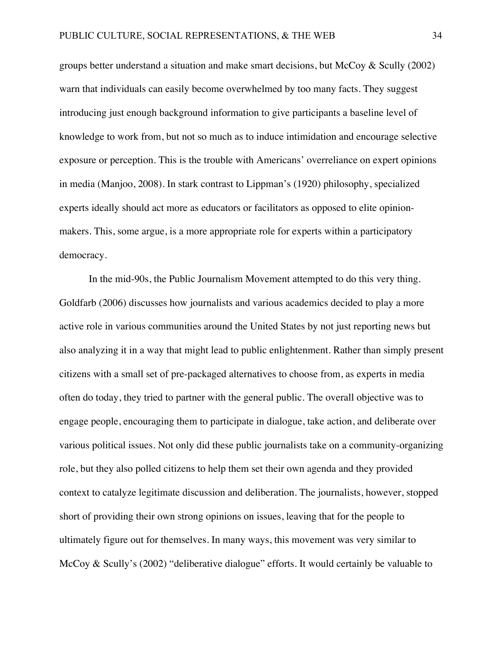groups better understand a situation and make smart decisions, but McCoy & Scully (2002) warn that individuals can easily become overwhelmed by too many facts. They suggest introducing just enough background information to give participants a baseline level of knowledge to work from, but not so much as to induce intimidation and encourage selective exposure or perception. This is the trouble with Americans' overreliance on expert opinions in media (Manjoo, 2008). In stark contrast to Lippman's (1920) philosophy, specialized experts ideally should act more as educators or facilitators as opposed to elite opinionmakers. This, some argue, is a more appropriate role for experts within a participatory democracy.

In the mid-90s, the Public Journalism Movement attempted to do this very thing. Goldfarb (2006) discusses how journalists and various academics decided to play a more active role in various communities around the United States by not just reporting news but also analyzing it in a way that might lead to public enlightenment. Rather than simply present citizens with a small set of pre-packaged alternatives to choose from, as experts in media often do today, they tried to partner with the general public. The overall objective was to engage people, encouraging them to participate in dialogue, take action, and deliberate over various political issues. Not only did these public journalists take on a community-organizing role, but they also polled citizens to help them set their own agenda and they provided context to catalyze legitimate discussion and deliberation. The journalists, however, stopped short of providing their own strong opinions on issues, leaving that for the people to ultimately figure out for themselves. In many ways, this movement was very similar to McCoy & Scully's (2002) "deliberative dialogue" efforts. It would certainly be valuable to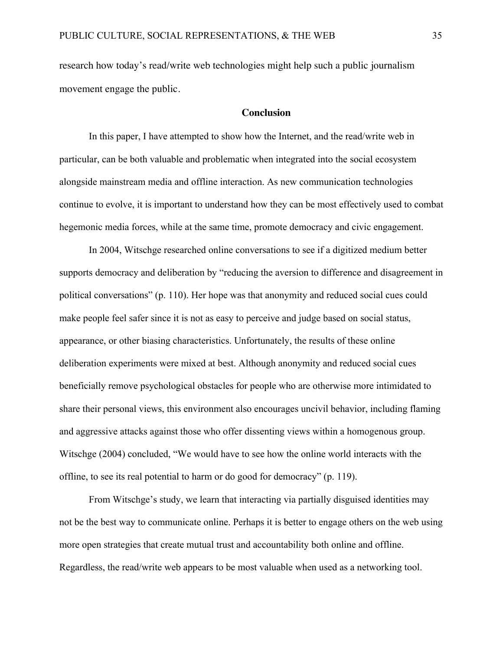research how today's read/write web technologies might help such a public journalism movement engage the public.

### **Conclusion**

In this paper, I have attempted to show how the Internet, and the read/write web in particular, can be both valuable and problematic when integrated into the social ecosystem alongside mainstream media and offline interaction. As new communication technologies continue to evolve, it is important to understand how they can be most effectively used to combat hegemonic media forces, while at the same time, promote democracy and civic engagement.

In 2004, Witschge researched online conversations to see if a digitized medium better supports democracy and deliberation by "reducing the aversion to difference and disagreement in political conversations" (p. 110). Her hope was that anonymity and reduced social cues could make people feel safer since it is not as easy to perceive and judge based on social status, appearance, or other biasing characteristics. Unfortunately, the results of these online deliberation experiments were mixed at best. Although anonymity and reduced social cues beneficially remove psychological obstacles for people who are otherwise more intimidated to share their personal views, this environment also encourages uncivil behavior, including flaming and aggressive attacks against those who offer dissenting views within a homogenous group. Witschge (2004) concluded, "We would have to see how the online world interacts with the offline, to see its real potential to harm or do good for democracy" (p. 119).

From Witschge's study, we learn that interacting via partially disguised identities may not be the best way to communicate online. Perhaps it is better to engage others on the web using more open strategies that create mutual trust and accountability both online and offline. Regardless, the read/write web appears to be most valuable when used as a networking tool.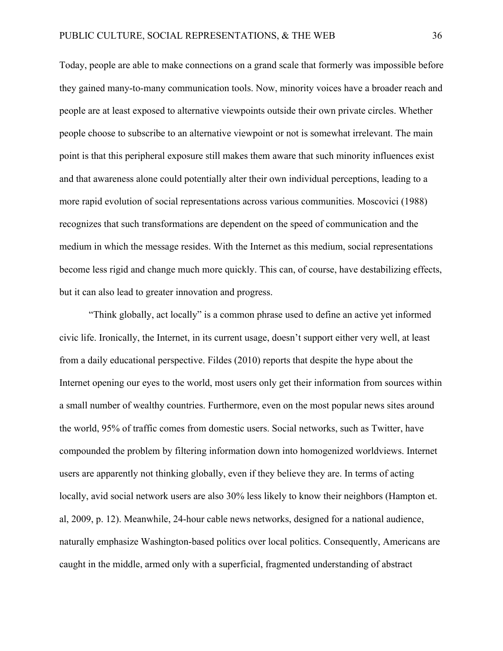Today, people are able to make connections on a grand scale that formerly was impossible before they gained many-to-many communication tools. Now, minority voices have a broader reach and people are at least exposed to alternative viewpoints outside their own private circles. Whether people choose to subscribe to an alternative viewpoint or not is somewhat irrelevant. The main point is that this peripheral exposure still makes them aware that such minority influences exist and that awareness alone could potentially alter their own individual perceptions, leading to a more rapid evolution of social representations across various communities. Moscovici (1988) recognizes that such transformations are dependent on the speed of communication and the medium in which the message resides. With the Internet as this medium, social representations become less rigid and change much more quickly. This can, of course, have destabilizing effects, but it can also lead to greater innovation and progress.

"Think globally, act locally" is a common phrase used to define an active yet informed civic life. Ironically, the Internet, in its current usage, doesn't support either very well, at least from a daily educational perspective. Fildes (2010) reports that despite the hype about the Internet opening our eyes to the world, most users only get their information from sources within a small number of wealthy countries. Furthermore, even on the most popular news sites around the world, 95% of traffic comes from domestic users. Social networks, such as Twitter, have compounded the problem by filtering information down into homogenized worldviews. Internet users are apparently not thinking globally, even if they believe they are. In terms of acting locally, avid social network users are also 30% less likely to know their neighbors (Hampton et. al, 2009, p. 12). Meanwhile, 24-hour cable news networks, designed for a national audience, naturally emphasize Washington-based politics over local politics. Consequently, Americans are caught in the middle, armed only with a superficial, fragmented understanding of abstract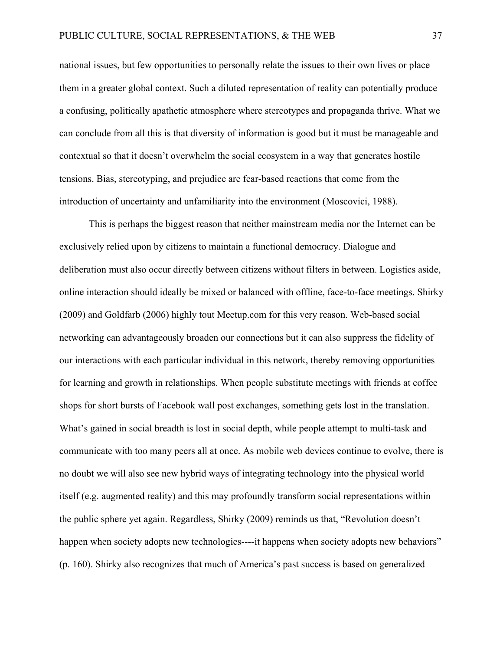national issues, but few opportunities to personally relate the issues to their own lives or place them in a greater global context. Such a diluted representation of reality can potentially produce a confusing, politically apathetic atmosphere where stereotypes and propaganda thrive. What we can conclude from all this is that diversity of information is good but it must be manageable and contextual so that it doesn't overwhelm the social ecosystem in a way that generates hostile tensions. Bias, stereotyping, and prejudice are fear-based reactions that come from the introduction of uncertainty and unfamiliarity into the environment (Moscovici, 1988).

This is perhaps the biggest reason that neither mainstream media nor the Internet can be exclusively relied upon by citizens to maintain a functional democracy. Dialogue and deliberation must also occur directly between citizens without filters in between. Logistics aside, online interaction should ideally be mixed or balanced with offline, face-to-face meetings. Shirky (2009) and Goldfarb (2006) highly tout Meetup.com for this very reason. Web-based social networking can advantageously broaden our connections but it can also suppress the fidelity of our interactions with each particular individual in this network, thereby removing opportunities for learning and growth in relationships. When people substitute meetings with friends at coffee shops for short bursts of Facebook wall post exchanges, something gets lost in the translation. What's gained in social breadth is lost in social depth, while people attempt to multi-task and communicate with too many peers all at once. As mobile web devices continue to evolve, there is no doubt we will also see new hybrid ways of integrating technology into the physical world itself (e.g. augmented reality) and this may profoundly transform social representations within the public sphere yet again. Regardless, Shirky (2009) reminds us that, "Revolution doesn't happen when society adopts new technologies----it happens when society adopts new behaviors" (p. 160). Shirky also recognizes that much of America's past success is based on generalized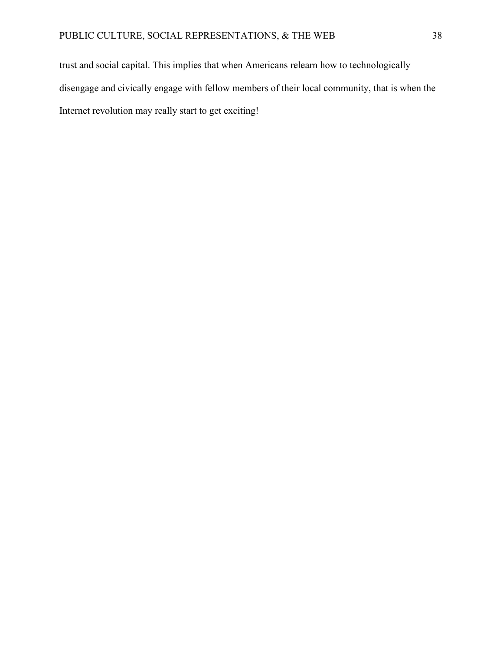trust and social capital. This implies that when Americans relearn how to technologically disengage and civically engage with fellow members of their local community, that is when the Internet revolution may really start to get exciting!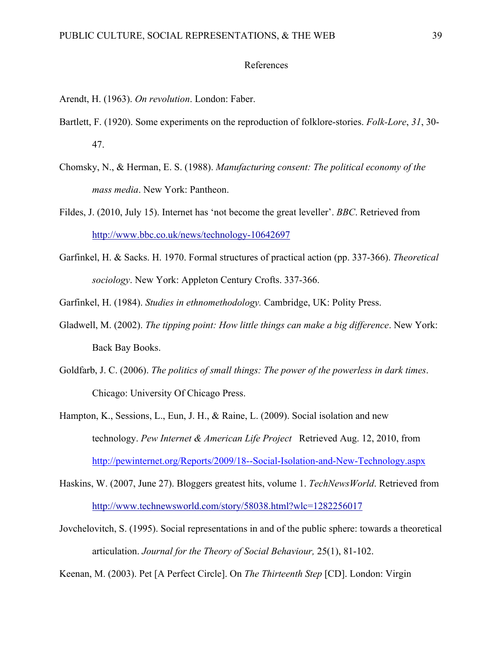### References

- Arendt, H. (1963). *On revolution*. London: Faber.
- Bartlett, F. (1920). Some experiments on the reproduction of folklore-stories. *Folk-Lore*, *31*, 30- 47.
- Chomsky, N., & Herman, E. S. (1988). *Manufacturing consent: The political economy of the mass media*. New York: Pantheon.
- Fildes, J. (2010, July 15). Internet has 'not become the great leveller'. *BBC*. Retrieved from http://www.bbc.co.uk/news/technology-10642697
- Garfinkel, H. & Sacks. H. 1970. Formal structures of practical action (pp. 337-366). *Theoretical sociology*. New York: Appleton Century Crofts. 337-366.
- Garfinkel, H. (1984). *Studies in ethnomethodology.* Cambridge, UK: Polity Press.
- Gladwell, M. (2002). *The tipping point: How little things can make a big difference*. New York: Back Bay Books.
- Goldfarb, J. C. (2006). *The politics of small things: The power of the powerless in dark times*. Chicago: University Of Chicago Press.
- Hampton, K., Sessions, L., Eun, J. H., & Raine, L. (2009). Social isolation and new technology. *Pew Internet & American Life Project* Retrieved Aug. 12, 2010, from http://pewinternet.org/Reports/2009/18--Social-Isolation-and-New-Technology.aspx
- Haskins, W. (2007, June 27). Bloggers greatest hits, volume 1. *TechNewsWorld*. Retrieved from http://www.technewsworld.com/story/58038.html?wlc=1282256017
- Jovchelovitch, S. (1995). Social representations in and of the public sphere: towards a theoretical articulation. *Journal for the Theory of Social Behaviour,* 25(1), 81-102.

Keenan, M. (2003). Pet [A Perfect Circle]. On *The Thirteenth Step* [CD]. London: Virgin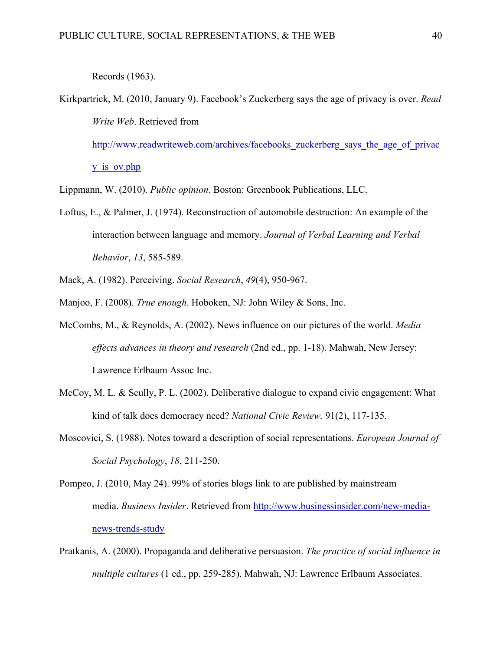Records (1963).

Kirkpartrick, M. (2010, January 9). Facebook's Zuckerberg says the age of privacy is over. *Read Write Web*. Retrieved from http://www.readwriteweb.com/archives/facebooks zuckerberg says the age of privac y is ov.php

Lippmann, W. (2010). *Public opinion*. Boston: Greenbook Publications, LLC.

Loftus, E., & Palmer, J. (1974). Reconstruction of automobile destruction: An example of the interaction between language and memory. *Journal of Verbal Learning and Verbal Behavior*, *13*, 585-589.

Mack, A. (1982). Perceiving. *Social Research*, *49*(4), 950-967.

Manjoo, F. (2008). *True enough*. Hoboken, NJ: John Wiley & Sons, Inc.

- McCombs, M., & Reynolds, A. (2002). News influence on our pictures of the world. *Media effects advances in theory and research* (2nd ed., pp. 1-18). Mahwah, New Jersey: Lawrence Erlbaum Assoc Inc.
- McCoy, M. L. & Scully, P. L. (2002). Deliberative dialogue to expand civic engagement: What kind of talk does democracy need? *National Civic Review,* 91(2), 117-135.
- Moscovici, S. (1988). Notes toward a description of social representations. *European Journal of Social Psychology*, *18*, 211-250.

Pompeo, J. (2010, May 24). 99% of stories blogs link to are published by mainstream media. *Business Insider*. Retrieved from http://www.businessinsider.com/new-medianews-trends-study

Pratkanis, A. (2000). Propaganda and deliberative persuasion. *The practice of social influence in multiple cultures* (1 ed., pp. 259-285). Mahwah, NJ: Lawrence Erlbaum Associates.